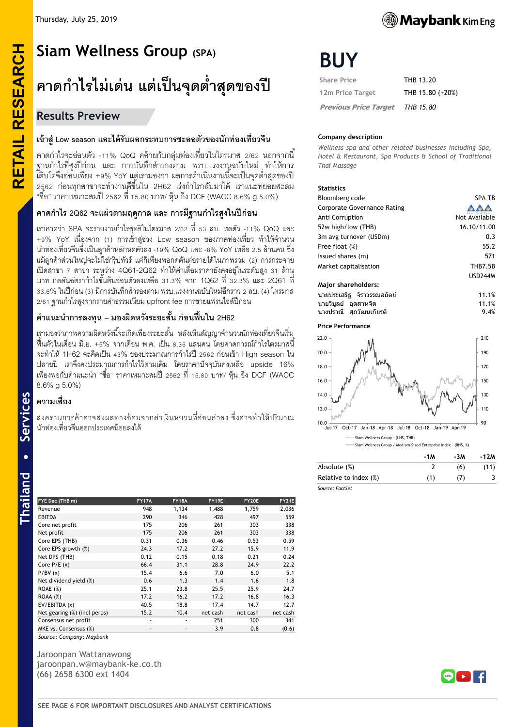# **RETAIL RESEARCH Siam Wellness Group (SPA) คาดก าไรไม่เด่น แต่เป็ นจุดต ่าสุดของปี**

# **Results Preview**

# **เข้าสู่Low season และได้รับผลกระทบการชะลอตัวของนักท่องเที่ยวจีน**

คาดก าไรจะอ่อนตัว -11% QoQ คล้ายกับกลุ่มท่องเที่ยวในไตรมาส 2/62 นอกจากนี ้ ี ฐานกำไรที่สูงปีก่อน และ การบันทึกสำรองตาม พรบ.แรงงานูฉบับใหม่ ทำให้การ ้เติบโตจึงอ่อนเพียง +9% YoY แต่เรามองว่า ผลการดำเนินงานนี้จะเป็นจุดต่ำสุดของปี 2562 ก่อนทกสาขาจะทำงานดีขึ้นใน 2H62 เร่งกำไรกลับมาได้ เราแนะทยอยสะสม "ซือ" ราคาเหมาะสมปี 2562 ที่ 15.80 บาท/ หุ้น อิง DCF (WACC 8.6% g 5.0%)

# **คาดก าไร 2Q62 จะแผ่วตามฤดูกาล และ การมีฐานก าไรสูงในปีก่อน**

เราคาดว่า SPA จะรายงานกำไรสุทธิในไตรมาส 2/62 ที่ 53 ลบ. หดตัว -11% QoQ และ +9% YoY เนื่องจาก (1) การเข้าสู่ช่วง Low season ของภาคท่องเที่ยว ทำให้จำนวน นักท่องเที่ยวจีนซึ่งเป็ นลูกค้าหลักหดตัวลง -19% QoQ และ -8% YoY เหลือ 2.5 ล้านคน ซึ่ง แม้ลูกค้าส่วนใหญ่จะไม่ใช่กรุ๊ปทัวร์ แต่ก็เพียงพอกดดันต่อรายได้ในภาพรวม (2) การกระจาย เปิ ดสาขา 7 สาขา ระหว่าง 4Q61-2Q62 ท าให้ค่าเสื่อมราคายังคงอยู่ในระดับสูง 31 ล้าน บาท กดดันอัตรากำไรขั้นต้นอ่อนตัวลงเหลือ 31.3% จาก 1Q62 ที่ 32.3% และ 2Q61 ที่ 33.6% ในปีก่อน (3) มีการบันทึกสำรองตาม พรบ.แรงงานฉบับใหม่อีกราว 2 ลบ. (4) ไตรมาส 2/61 ฐานกำไรสูงจากรายค่าธรรมเนียม upfront fee การขายแฟรนไชส์ปีก่อน

# **ค าแนะน าการลงทุน – มองผิดหวังระยะสั้น ก่อนฟื้นใน 2H62**

่ เรามองว่าภาพความผิดหวังนี้จะเกิดเพียงระยะสั้น หลังเห็นสัญญาจำนวนนักท่องเที่ยวจีนเริ่ม ฟื้นตัวในเดือน มิ.ย. +5% จากเดือน พ.ค. เป็น 8.36 แสนคน โดยคาดการณ์กำไรไตรมาสนี่ จะทำให้ 1H62 จะคิดเป็น 43% ของประมาณการกำไรปี 2562 ก่อนเข้า High season ใน ปลายปี เราจึงคงประมาณการกำไรไว้ตามเดิม โดยราคาปัจจุบันคงเหลือ upside 16% ี เพียงพอกับคำแนะนำ "ซื้อ" ราคาเหมาะสมปี 2562 ที่ 15.80 บาท/ ห้น อิง DCF (WACC 8.6% g 5.0%)

# **ความเสี่ยง**

สงครามการค้าอาจส่งผลทางอ้อมจากค่าเงินหยวนที่อ่อนค่าลง ซึ่งอาจทำให้ปริมาณ นักท่องเที่ยวจีนออกประเทศน้อยลงได้

| FYE Dec (THB m)              | <b>FY17A</b> | <b>FY18A</b> | FY19E    | FY20E    | FY21E    |
|------------------------------|--------------|--------------|----------|----------|----------|
| Revenue                      | 948          | 1,134        | 1,488    | 1,759    | 2,036    |
| <b>EBITDA</b>                | 290          | 346          | 428      | 497      | 559      |
| Core net profit              | 175          | 206          | 261      | 303      | 338      |
| Net profit                   | 175          | 206          | 261      | 303      | 338      |
| Core EPS (THB)               | 0.31         | 0.36         | 0.46     | 0.53     | 0.59     |
| Core EPS growth (%)          | 24.3         | 17.2         | 27.2     | 15.9     | 11.9     |
| Net DPS (THB)                | 0.12         | 0.15         | 0.18     | 0.21     | 0.24     |
| Core $P/E(x)$                | 66.4         | 31.1         | 28.8     | 24.9     | 22.2     |
| P/BV(x)                      | 15.4         | 6.6          | 7.0      | 6.0      | 5.1      |
| Net dividend yield (%)       | 0.6          | 1.3          | 1.4      | 1.6      | 1.8      |
| ROAE (%)                     | 25.1         | 23.8         | 25.5     | 25.9     | 24.7     |
| $ROAA (\%)$                  | 17.2         | 16.2         | 17.2     | 16.8     | 16.3     |
| EV/EBITDA (x)                | 40.5         | 18.8         | 17.4     | 14.7     | 12.7     |
| Net gearing (%) (incl perps) | 15.2         | 10.4         | net cash | net cash | net cash |
| Consensus net profit         | ٠            | ٠            | 251      | 300      | 341      |
| MKE vs. Consensus (%)        | ٠            | ٠            | 3.9      | 0.8      | (0.6)    |

*Source: Company; Maybank*

Jaroonpan Wattanawong jaroonpan.w@maybank-ke.co.th (66) 2658 6300 ext 1404



# **BUY**

| <b>Share Price</b>           | THB 13.20        |
|------------------------------|------------------|
| 12m Price Target             | THB 15.80 (+20%) |
| <b>Previous Price Target</b> | THB 15.80        |

### **Company description**

*Wellness spa and other related businesses including Spa, Hotel & Restaurant, Spa Products & School of Traditional Thai Massage*

#### **Statistics**

| Bloomberg code                     | <b>SPA TB</b>  |
|------------------------------------|----------------|
| <b>Corporate Governance Rating</b> |                |
| Anti Corruption                    | Not Available  |
| 52w high/low (THB)                 | 16.10/11.00    |
| 3m avg turnover (USDm)             | 0.3            |
| Free float (%)                     | 55.2           |
| Issued shares (m)                  | 571            |
| Market capitalisation              | <b>THB7.5B</b> |
|                                    | <b>USD244M</b> |
| <b>Major shareholders:</b>         |                |
| ินายประเสริฐ จิราวรรณสถิตย์        | 11.1%          |
| นายวิบลย์ อดสาหจิด                 | 11.1%          |

นางปราณี ศภุ วฒั นเกยี รติ 9.4%

#### **Price Performance**



|                       | -1M | -3M | -12M |
|-----------------------|-----|-----|------|
| Absolute (%)          |     | (6) | (11) |
| Relative to index (%) | (1) | 71  |      |
| Source: FactSet       |     |     |      |





**RETAIL RESEARCH**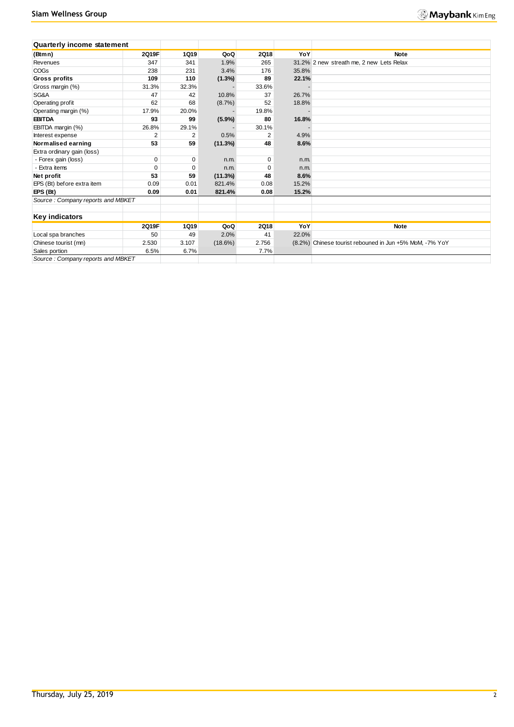| <b>Quarterly income statement</b> |                |             |            |             |       |                                                         |
|-----------------------------------|----------------|-------------|------------|-------------|-------|---------------------------------------------------------|
| (Btmn)                            | 2Q19F          | <b>1Q19</b> | QoQ        | <b>2Q18</b> | YoY   | <b>Note</b>                                             |
| Revenues                          | 347            | 341         | 1.9%       | 265         |       | 31.2% 2 new streath me, 2 new Lets Relax                |
| <b>COGs</b>                       | 238            | 231         | 3.4%       | 176         | 35.8% |                                                         |
| <b>Gross profits</b>              | 109            | 110         | $(1.3\%)$  | 89          | 22.1% |                                                         |
| Gross margin (%)                  | 31.3%          | 32.3%       |            | 33.6%       |       |                                                         |
| SG&A                              | 47             | 42          | 10.8%      | 37          | 26.7% |                                                         |
| Operating profit                  | 62             | 68          | $(8.7\%)$  | 52          | 18.8% |                                                         |
| Operating margin (%)              | 17.9%          | 20.0%       |            | 19.8%       |       |                                                         |
| <b>EBITDA</b>                     | 93             | 99          | (5.9%)     | 80          | 16.8% |                                                         |
| EBITDA margin (%)                 | 26.8%          | 29.1%       |            | 30.1%       |       |                                                         |
| Interest expense                  | $\overline{2}$ | 2           | 0.5%       | 2           | 4.9%  |                                                         |
| Normalised earning                | 53             | 59          | (11.3%)    | 48          | 8.6%  |                                                         |
| Extra ordinary gain (loss)        |                |             |            |             |       |                                                         |
| - Forex gain (loss)               | $\mathbf 0$    | 0           | n.m.       | 0           | n.m.  |                                                         |
| - Extra items                     | 0              | 0           | n.m.       | $\Omega$    | n.m.  |                                                         |
| Net profit                        | 53             | 59          | (11.3%)    | 48          | 8.6%  |                                                         |
| EPS (Bt) before extra item        | 0.09           | 0.01        | 821.4%     | 0.08        | 15.2% |                                                         |
| EPS(Bt)                           | 0.09           | 0.01        | 821.4%     | 0.08        | 15.2% |                                                         |
| Source: Company reports and MBKET |                |             |            |             |       |                                                         |
|                                   |                |             |            |             |       |                                                         |
| <b>Key indicators</b>             |                |             |            |             |       |                                                         |
|                                   | 2Q19F          | <b>1Q19</b> | QoQ        | <b>2Q18</b> | YoY   | <b>Note</b>                                             |
| Local spa branches                | 50             | 49          | 2.0%       | 41          | 22.0% |                                                         |
| Chinese tourist (mn)              | 2.530          | 3.107       | $(18.6\%)$ | 2.756       |       | (8.2%) Chinese tourist rebouned in Jun +5% MoM, -7% YoY |
| Sales portion                     | 6.5%           | 6.7%        |            | 7.7%        |       |                                                         |
| Source: Company reports and MBKET |                |             |            |             |       |                                                         |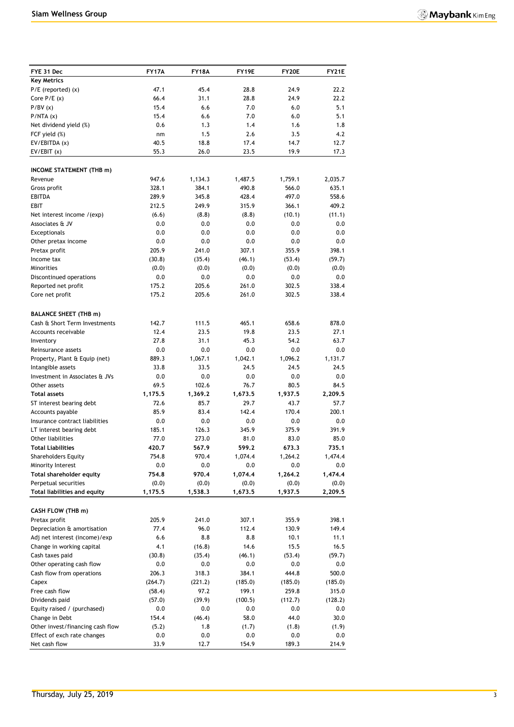| FYE 31 Dec                                           | <b>FY17A</b>  | <b>FY18A</b>  | FY19E          | <b>FY20E</b>     | FY21E          |
|------------------------------------------------------|---------------|---------------|----------------|------------------|----------------|
| <b>Key Metrics</b>                                   |               |               |                |                  |                |
| $P/E$ (reported) $(x)$                               | 47.1          | 45.4          | 28.8           | 24.9             | 22.2           |
| Core $P/E(x)$                                        | 66.4          | 31.1          | 28.8           | 24.9             | 22.2           |
| P/BV(x)                                              | 15.4          | 6.6           | 7.0            | 6.0              | 5.1            |
| P/NTA(x)                                             | 15.4          | 6.6           | 7.0            | 6.0              | 5.1            |
| Net dividend yield (%)                               | 0.6           | 1.3           | 1.4            | 1.6              | 1.8            |
| FCF yield (%)                                        | nm            | 1.5           | 2.6            | 3.5              | 4.2            |
| EV/EBITDA (x)                                        | 40.5          | 18.8          | 17.4           | 14.7             | 12.7           |
| EV/EBIT(x)                                           | 55.3          | 26.0          | 23.5           | 19.9             | 17.3           |
| <b>INCOME STATEMENT (THB m)</b>                      |               |               |                |                  |                |
| Revenue                                              | 947.6         | 1,134.3       | 1,487.5        | 1,759.1          | 2,035.7        |
| Gross profit                                         | 328.1         | 384.1         | 490.8          | 566.0            | 635.1          |
| <b>EBITDA</b>                                        | 289.9         | 345.8         | 428.4          | 497.0            | 558.6          |
| EBIT                                                 | 212.5         | 249.9         | 315.9          | 366.1            | 409.2          |
| Net interest income /(exp)                           | (6.6)         | (8.8)         | (8.8)          | (10.1)           | (11.1)         |
| Associates & JV                                      | 0.0           | 0.0           | 0.0            | 0.0              | 0.0            |
| Exceptionals                                         | 0.0           | 0.0           | 0.0            | 0.0              | 0.0            |
| Other pretax income                                  | 0.0           | 0.0           | 0.0            | 0.0              | 0.0            |
| Pretax profit                                        | 205.9         | 241.0         | 307.1          | 355.9            | 398.1          |
| Income tax                                           | (30.8)        | (35.4)        | (46.1)         | (53.4)           | (59.7)         |
| Minorities                                           | (0.0)         | (0.0)         | (0.0)          | (0.0)            | (0.0)          |
| Discontinued operations                              | 0.0           | 0.0           | 0.0            | 0.0              | 0.0            |
| Reported net profit                                  | 175.2         | 205.6         | 261.0          | 302.5            | 338.4          |
| Core net profit                                      | 175.2         | 205.6         | 261.0          | 302.5            | 338.4          |
| <b>BALANCE SHEET (THB m)</b>                         |               |               |                |                  |                |
| Cash & Short Term Investments                        | 142.7         | 111.5         | 465.1          | 658.6            | 878.0          |
| Accounts receivable                                  | 12.4          | 23.5          | 19.8           | 23.5             | 27.1           |
| Inventory                                            | 27.8          | 31.1          | 45.3           | 54.2             | 63.7           |
| Reinsurance assets                                   | 0.0           | 0.0           | 0.0            | 0.0              | 0.0            |
| Property, Plant & Equip (net)                        | 889.3         | 1,067.1       | 1,042.1        | 1,096.2          | 1,131.7        |
| Intangible assets                                    | 33.8          | 33.5          | 24.5           | 24.5             | 24.5           |
| Investment in Associates & JVs                       | 0.0           | 0.0           | 0.0            | 0.0              | 0.0            |
| Other assets                                         | 69.5          | 102.6         | 76.7           | 80.5             | 84.5           |
| <b>Total assets</b>                                  | 1,175.5       | 1,369.2       | 1,673.5        | 1,937.5          | 2,209.5        |
| ST interest bearing debt                             | 72.6          | 85.7          | 29.7           | 43.7             | 57.7           |
| Accounts payable                                     | 85.9          | 83.4          | 142.4          | 170.4            | 200.1          |
| Insurance contract liabilities                       | 0.0           | 0.0           | 0.0            | 0.0              | 0.0            |
| LT interest bearing debt                             | 185.1         | 126.3         | 345.9          | 375.9            | 391.9          |
| Other liabilities                                    | 77.0          | 273.0         | 81.0           | 83.0             | 85.0           |
| Total Liabilities                                    | 420.7         | 567.9         | 599.2          | 673.3            | 735.1          |
| <b>Shareholders Equity</b>                           | 754.8         | 970.4         | 1,074.4        | 1,264.2          | 1,474.4        |
| Minority Interest<br><b>Total shareholder equity</b> | 0.0<br>754.8  | 0.0<br>970.4  | 0.0<br>1,074.4 | 0.0              | 0.0<br>1,474.4 |
| Perpetual securities                                 | (0.0)         | (0.0)         | (0.0)          | 1,264.2<br>(0.0) | (0.0)          |
| Total liabilities and equity                         | 1,175.5       | 1,538.3       | 1,673.5        | 1,937.5          | 2,209.5        |
|                                                      |               |               |                |                  |                |
| CASH FLOW (THB m)                                    |               |               |                |                  |                |
| Pretax profit                                        | 205.9         | 241.0         | 307.1          | 355.9            | 398.1          |
| Depreciation & amortisation                          | 77.4          | 96.0          | 112.4          | 130.9            | 149.4          |
| Adj net interest (income)/exp                        | 6.6           | 8.8           | 8.8            | 10.1             | 11.1           |
| Change in working capital                            | 4.1           | (16.8)        | 14.6           | 15.5             | 16.5           |
| Cash taxes paid                                      | (30.8)        | (35.4)        | (46.1)         | (53.4)           | (59.7)         |
| Other operating cash flow                            | 0.0           | 0.0           | 0.0            | $0.0\,$          | 0.0            |
| Cash flow from operations                            | 206.3         | 318.3         | 384.1          | 444.8            | 500.0          |
| Capex                                                | (264.7)       | (221.2)       | (185.0)        | (185.0)          | (185.0)        |
| Free cash flow                                       | (58.4)        | 97.2          | 199.1          | 259.8            | 315.0          |
| Dividends paid<br>Equity raised / (purchased)        | (57.0)<br>0.0 | (39.9)<br>0.0 | (100.5)<br>0.0 | (112.7)<br>0.0   | (128.2)<br>0.0 |
| Change in Debt                                       | 154.4         | (46.4)        | 58.0           | 44.0             | 30.0           |
| Other invest/financing cash flow                     | (5.2)         | 1.8           | (1.7)          | (1.8)            | (1.9)          |
| Effect of exch rate changes                          | 0.0           | 0.0           | 0.0            | $0.0\,$          | 0.0            |
| Net cash flow                                        | 33.9          | 12.7          | 154.9          | 189.3            | 214.9          |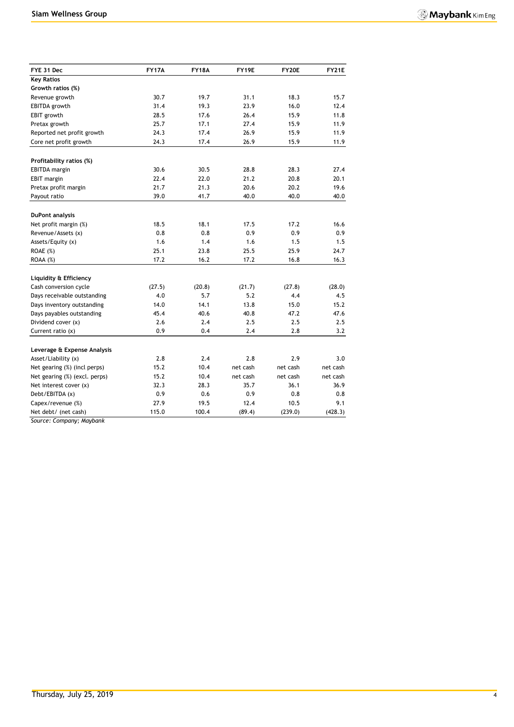| FYE 31 Dec                    | <b>FY17A</b> | <b>FY18A</b> | FY19E            | FY20E    | <b>FY21E</b> |
|-------------------------------|--------------|--------------|------------------|----------|--------------|
| <b>Key Ratios</b>             |              |              |                  |          |              |
| Growth ratios (%)             |              |              |                  |          |              |
| Revenue growth                | 30.7         | 19.7         | 31.1             | 18.3     | 15.7         |
| <b>EBITDA</b> growth          | 31.4         | 19.3         | 23.9             | 16.0     | 12.4         |
| EBIT growth                   | 28.5         | 17.6         | 26.4             | 15.9     | 11.8         |
| Pretax growth                 | 25.7         | 17.1         | 27.4             | 15.9     | 11.9         |
| Reported net profit growth    | 24.3         | 17.4         | 26.9             | 15.9     | 11.9         |
| Core net profit growth        | 24.3         | 17.4         | 26.9             | 15.9     | 11.9         |
|                               |              |              |                  |          |              |
| Profitability ratios (%)      |              |              |                  |          |              |
| <b>EBITDA</b> margin          | 30.6         | 30.5         | 28.8             | 28.3     | 27.4         |
| EBIT margin                   | 22.4         | 22.0         | 21.2             | 20.8     | 20.1         |
| Pretax profit margin          | 21.7         | 21.3         | 20.6             | 20.2     | 19.6         |
| Payout ratio                  | 39.0         | 41.7         | 40.0             | 40.0     | 40.0         |
| <b>DuPont analysis</b>        |              |              |                  |          |              |
| Net profit margin (%)         | 18.5         | 18.1         | 17.5             | 17.2     | 16.6         |
| Revenue/Assets (x)            | 0.8          | 0.8          | 0.9              | 0.9      | 0.9          |
| Assets/Equity (x)             | 1.6          | 1.4          | 1.6              | 1.5      | 1.5          |
| <b>ROAE</b> (%)               | 25.1         | 23.8         | 25.5             | 25.9     | 24.7         |
| ROAA (%)                      | 17.2         | 16.2         | 17.2             | 16.8     | 16.3         |
|                               |              |              |                  |          |              |
| Liquidity & Efficiency        |              |              |                  |          |              |
| Cash conversion cycle         | (27.5)       | (20.8)       | (21.7)           | (27.8)   | (28.0)       |
| Days receivable outstanding   | 4.0          | 5.7          | 5.2              | 4.4      | 4.5          |
| Days inventory outstanding    | 14.0         | 14.1         | 13.8             | 15.0     | 15.2         |
| Days payables outstanding     | 45.4         | 40.6         | 40.8             | 47.2     | 47.6         |
| Dividend cover (x)            | 2.6          | 2.4          | 2.5              | 2.5      | 2.5          |
| Current ratio $(x)$           | 0.9          | 0.4          | 2.4              | 2.8      | 3.2          |
| Leverage & Expense Analysis   |              |              |                  |          |              |
| Asset/Liability (x)           | 2.8          | 2.4          | 2.8              | 2.9      | 3.0          |
| Net gearing (%) (incl perps)  | 15.2         | 10.4         | net cash         | net cash | net cash     |
|                               | 15.2         |              |                  | net cash |              |
| Net gearing (%) (excl. perps) | 32.3         | 10.4<br>28.3 | net cash<br>35.7 | 36.1     | net cash     |
| Net interest cover (x)        |              |              |                  |          | 36.9         |
| Debt/EBITDA (x)               | 0.9          | 0.6          | 0.9              | 0.8      | 0.8          |
| Capex/revenue (%)             | 27.9         | 19.5         | 12.4             | 10.5     | 9.1          |
| Net debt/ (net cash)          | 115.0        | 100.4        | (89.4)           | (239.0)  | (428.3)      |

*Source: Company; Maybank*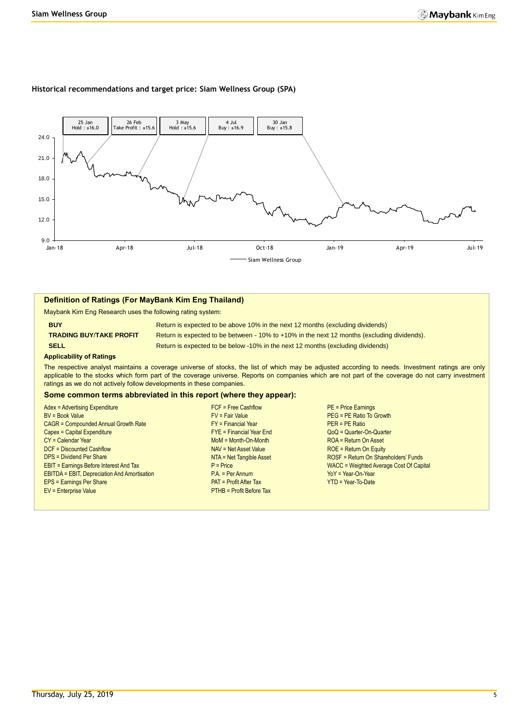#### **Historical recommendations and target price: Siam Wellness Group (SPA)**



#### **Definition of Ratings (For MayBank Kim Eng Thailand)**

Maybank Kim Eng Research uses the following rating system:

**BUY Return is expected to be above 10% in the next 12 months (excluding dividends) TRADING BUY**/**TAKE PROFIT** Return is expected to be between - 10% to +10% in the next 12 months (excluding dividends). **SELL Return is expected to be below -10% in the next 12 months (excluding dividends)** 

#### **Applicability of Ratings**

The respective analyst maintains a coverage universe of stocks, the list of which may be adjusted according to needs. Investment ratings are only applicable to the stocks which form part of the coverage universe. Reports on companies which are not part of the coverage do not carry investment ratings as we do not actively follow developments in these companies.

#### **Some common terms abbreviated in this report (where they appear):**

| Adex = Advertising Expenditure                      | $FCF = Free Cashflow$           | <b>PE = Price Earnings</b>              |
|-----------------------------------------------------|---------------------------------|-----------------------------------------|
|                                                     |                                 |                                         |
| <b>BV = Book Value</b>                              | $FV = Fair Value$               | PEG = PE Ratio To Growth                |
| <b>CAGR = Compounded Annual Growth Rate</b>         | $FY = Financial Year$           | $PER = PE Ratio$                        |
| Capex = Capital Expenditure                         | $FYE = Financial Year$ End      | QoQ = Quarter-On-Quarter                |
| CY = Calendar Year                                  | $M \circ M = M \circ th$ -Month | ROA = Return On Asset                   |
| DCF = Discounted Cashflow                           | NAV = Net Asset Value           | $ROE = Return On Equity$                |
| <b>DPS = Dividend Per Share</b>                     | NTA = Net Tangible Asset        | ROSF = Return On Shareholders' Funds    |
| <b>EBIT = Earnings Before Interest And Tax</b>      | $P = Price$                     | WACC = Weighted Average Cost Of Capital |
| <b>EBITDA = EBIT, Depreciation And Amortisation</b> | $PA. = Per Annum$               | $YoY = Year-On-Year$                    |
| <b>EPS = Earnings Per Share</b>                     | <b>PAT = Profit After Tax</b>   | $YTD = Year-To-Date$                    |
| EV = Enterprise Value                               | PTHB = Profit Before Tax        |                                         |
|                                                     |                                 |                                         |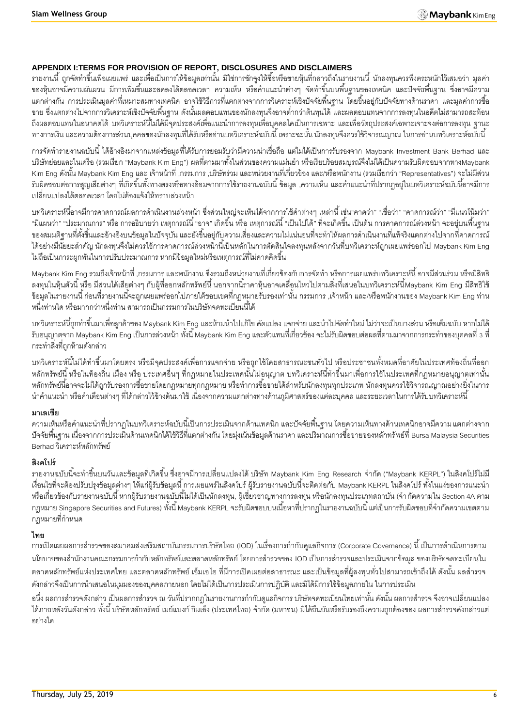# **APPENDIX I:TERMS FOR PROVISION OF REPORT, DISCLOSURES AND DISCLAIMERS**

้ รายงานนี้ ถูกจัดทำขึ้นเพื่อเผยแพร่ และเพื่อเป็นการให้ข้อมูลเท่านั้น มิใช่การชักจูงให้ซื้อหรือขายหุ้นที่กล่าวถึงในรายงานนี้ นักลงทุนควรพึงตระหนักไว้เสมอว่า มูลค่า ี ของหุ้นอาจมีความผันผวน มีการเพิ่มขึ้นและลดลงได้ตลอดเวลา ความเห็น หรือคำแนะนำต่างๆ จัดทำขึ้นบนพื้นฐานของเทคนิค และปัจจัยพื้นฐาน ซึ่งอาจมีความ ้ แตกต่างกัน การประเมินมูลค่าที่เหมาะสมทางเทคนิค อาจใช้วิธีการที่แตกต่างจากการวิเคราะห์เชิงปัจจัยพื้นฐาน โดยขึ้นอยู่กับปัจจัยทางด้านราคา และมูลค่าการซื้อ ่ ขาย ซึ่งแตกต่างไปจากการวิเคราะห์เชิงปัจจัยพื้นฐาน ดังนั้นผลตอบแทนของนักลงทุนจึงอาจต่ำกว่าต้นทุนได้ และผลตอบแทนจากการลงทุนในอดีตไม่สามารถสะท้อน ถึงผลตอบแทนในอนาคตได้ บทวิเคราะห์นี้ไม่ได้มีจุดประสงค์เพื่อแนะนำการลงทุนเพื่อบุคคลใดเป็นการเฉพาะ และเพื่อวัตถุประสงค์เฉพาะเจาะจงต่อการลงทุน ฐานะ ทางการเงิน และความต้องการส่วนบุคคลของนักลงทุนที่ได้รับหรืออ่านบทวิเคราะห์ฉบับนี้ เพราะฉะนั้น นักลงทุนจึงควรใช้วิจารณญาณ ในการอ่านบทวิเคราะห์ฉบับนี้

การจัดทำรายงานฉบับนี้ ได้อ้างอิงมาจากแหล่งข้อมูลที่ได้รับการยอมรับว่ามีความน่าเชื่อถือ แต่ไมได้เป็นการรับรองจาก Maybank Investment Bank Berhad และ บริษัทย่อยและในเครือ (รวมเรียก "Maybank Kim Eng") ผลที่ตามมาทั้งในส่วนของความแม่นยำ หรือเรียบร้อยสมบูรณ์จึงไม่ได้เป็นความรับผิดชอบจากทางMaybank Kim Eng ดังนั้น Maybank Kim Eng และ เจ้าหน้าที่ ,กรรมการ ,บริษัทร่วม และหน่วยงานที่เกี่ยวข้อง และ/หรือพนักงาน (รวมเรียกว่า "Representatives") จะไม่มีส่วน ้ รับผิดชอบต่อการสูญเสียต่างๆ ที่เกิดขึ้นทั้งทางตรงหรือทางอ้อมจากการใช้รายงานฉบับนี้ ข้อมูล ,ความเห็น และคำแนะนำที่ปรากฦอยู่ในบทวิเคราะห์ฉบับนี้อาจมีการ เปลี่ยนแปลงได้ตลอดเวลา โดยไม่ต้องแจ้งให้ทราบล่วงหน้า

้บทวิเคราะห์นี้อาจมีการคาดการณ์ผลการดำเนินงานล่วงหน้า ซึ่งส่วนใหญ่จะเห็นได้จากการใช้คำต่างๆ เหล่านี้ เช่น"คาดว่า" "เชื่อว่า" "คาดการณ์ว่า" "มีแนวโน้มว่า" "มีแผนว่า" "ประมาณการ" หรือ การอธิบายว่า เหตุการณ์นี้ "อาจ" เกิดขึ้น หรือ เหตุการณ์นี้ "เป็นไปได้" ที่จะเกิดขึ้น เป็นต้น การคาดการณ์ล่วงหน้า จะอยู่บนพื้นฐาน ของสมมติฐานที่ตั้งขึ้นและอ้างอิงบนข้อมูลในปัจจุบัน และยังขึ้นอยู่กับความเสี่ยงและความไม่แน่นอนที่จะทำให้ผลการดำเนินงานที่แท้จริงแตกต่างไปจากที่คาดการณ์ ี ได้อย่างมีนัยยะสำคัญ นักลงทุนจึงไม่ควรใช้การคาดการณ์ล่วงหน้านี้เป็นหลักในการตัดสินใจลงทุนหลังจากวันที่บทวิเคราะห์ถูกเผยแพร่ออกไป Maybank Kim Eng ไม่ถือเป็นภาระผูกพันในการปรับประมาณการ หากมีข้อมูลใหม่หรือเหตุการณ์ที่ไม่คาดคิดขึ้น

. Maybank Kim Eng รวมถึงเจ้าหน้าที่ ,กรรมการ และพนักงาน ซึ่งรวมถึงหน่วยงานที่เกี่ยวข้องกับการจัดทำ หรือการเผยแพร่บทวิเคราะห์นี้ อาจมีส่วนร่วม หรือมีสิทธิ ิ ลงทุนในหุ้นตัวนี้ หรือ มีส่วนได้เสียต่างๆ กับผู้ที่ออกหลักทรัพย์นี้ นอกจากนี้ราคาหุ้นอาจเคลื่อนไหวไปตามสิ่งที่เสนอในบทวิเคราะห์นี้Maybank Kim Eng มีสิทธิใช้ -ข้อมูลในรายงานนี้ ก่อนที่รายงานนี้จะถูกเผยแพร่ออกไปภายใต้ขอบเขตที่กฎหมายรับรองเท่านั้น กรรมการ ,เจ้าหน้า และ/หรือพนักงานของ Maybank Kim Eng ท่าน หนึ่งท่านใด หรือมากกว่าหนึ่งท่าน สามารถเป็นกรรมการในบริษัทจดทะเบียนนี้ได้

ี บทวิเคราะห์นี้ถูกทำขึ้นมาเพื่อลูกค้าของ Maybank Kim Eng และห้ามนำไปแก้ไข ดัดแปลง แจกจ่าย และนำไปจัดทำใหม่ ไม่ว่าจะเป็นบางส่วน หรือเต็มฉบับ หากไม่ได้ รับอนุญาตจาก Maybank Kim Eng เป็นการล่วงหน้า ทั้งนี้ Maybank Kim Eng และตัวแทนที่เกี่ยวข้อง จะไม่รับผิดชอบต่อผลที่ตามมาจากการกระทำของบุคคลที่ 3 ที่ กระท าสิ่งที่ถูกห้ามดังกล่าว

บทวิเคราะห์นี้ไม่ได้ทำขึ้นมาโดยตรง หรือมีจุดประสงค์เพื่อการแจกจ่าย หรือถูกใช้โดยสาธารณะชนทั่วไป หรือประชาชนทั้งหมดที่อาศัยในประเทศท้องถิ่นที่ออก ่ หลักทรัพย์นี้ หรือในท้องถิ่น เมือง หรือ ประเทศอื่นๆ ที่กฎหมายในประเทศนั้นไม่อนุญาต บทวิเคราะห์นี้ทำขึ้นมาเพื่อการใช้ในประเทศที่กฎหมายอนุญาตเท่านั้น หลักทรัพย์นี้อาจจะไม่ได้ถูกรับรองการซื้อขายโดยกฎหมายทุกกฎหมาย หรือทำการซื้อขายได้สำหรับนักลงทุนทุกประเภท นักลงทุนควรใช้วิจารณญาณอย่างยิ่งในการ นำคำแนะนำ หรือคำเตือนต่างๆ ที่ได้กล่าวไว้ข้างต้นมาใช้ เนื่องจากความแตกต่างทางด้านภูมิศาสตร์ของแต่ละบุคคล และระยะเวลาในการได้รับบทวิเคราะห์นี้

### **มาเลเซีย**

้ ความเห็นหรือคำแนะนำที่ปรากฏในบทวิเคราะห์ฉบับนี้เป็นการประเมินจากด้านเทคนิก และปัจจัยพื้นฐาน โดยความเห็นทางด้านเทคนิกอาจมีความ แตกต่างจาก -ปัจจัยพื้นฐาน เนื่องจากการประเมินด้านเทคนิกได้ใช้วิธีที่แตกต่างกัน โดยมุ่งเน้นข้อมูลด้านราคา และปริมาณการซื้อขายของหลักทรัพย์ที่ Bursa Malaysia Securities Berhad วิเคราะห์หลักทรัพย์

# **สิงคโปร์**

ิ รายงานฉบับนี้จะทำขึ้นบนวันและข้อมูลที่เกิดขึ้น ซึ่งอาจมีการเปลี่ยนแปลงได้ บริษัท Maybank Kim Eng Research จำกัด ("Maybank KERPL") ในสิงคโปร์ไม่มี เงื่อนไขที่จะต้องปรับปรุงข้อมูลต่างๆ ให้แก่ผู้รับข้อมูลนี้ การเผยแพร่ในสิงคโปร์ ผู้รับรายงานฉบับนี้จะติดต่อกับ Maybank KERPL ในสิงคโปร์ ทั้งในแง่ของการแนะนำ หรือเกี่ยวข้องกับรายงานฉบับนี้ หากผู้รับรายงานฉบับนี้ไม่ได้เป็นนักลงทุน, ผู้เชี่ยวชาญทางการลงทุน หรือนักลงทุนประเภทสถาบัน (จำกัดความใน Section 4A ตาม ึ กฎหมาย Singapore Securities and Futures) ทั้งนี้ Maybank KERPL จะรับผิดชอบบนเนื้อหาที่ปรากฏในรายงานฉบับนี้ แต่เป็นการรับผิดชอบที่จำกัดความเขตตาม ึกภหมายที่กำหน*ด* 

# **ไทย**

การเปิดเผยผลการสำรวจของสมาคมส่งเสริมสถาบันกรรมการบริษัทไทย (IOD) ในเรื่องการกำกับดูแลกิจการ (Corporate Governance) นี้ เป็นการดำเนินการตาม นโยบายของสำนักงานคณะกรรมการกำกับหลักทรัพย์และตลาดหลักทรัพย์ โดยการสำรวจของ IOD เป็นการสำรวจและประเมินจากข้อมูล ของบริษัทจดทะเบียนใน ้ตลาดหลักทรัพย์แห่งประเทศไทย และตลาดหลักทรัพย์ เอ็มเอไอ ที่มีการเปิดเผยต่อสาธารณะ และเป็นข้อมูลที่ผู้ลงทุนทั่วไปสามารถเข้าถึงได้ ดังนั้น ผลสำรวจ ดังกล่าวจึงเป็นการนำเสนอในมุมมองของบุคคลภายนอก โดยไม่ได้เป็นการประเมินการปฏิบัติ และมิได้มีการใช้ข้อมูลภายใน ในการประเมิน

่ อนึ่ง ผลการสำรวจดังกล่าว เป็นผลการสำรวจ ณ วันที่ปรากกฎในรายงานการกำกับดูแลกิจการ บริษัทจดทะเบียนไทยเท่านั้น ดังนั้น ผลการสำรวจ จึงอาจเปลี่ยนแปลง ได้ภายหลังวันดังกล่าว ทั้งนี้ บริษัทหลักทรัพย์ เมย์แบงก์ กิมเอ็ง (ประเทศไทย) จำกัด (มหาชน) มิได้ยืนยันหรือรับรองถึงความถูกต้องของ ผลการสำรวจดังกล่าวแต่ อย่างใด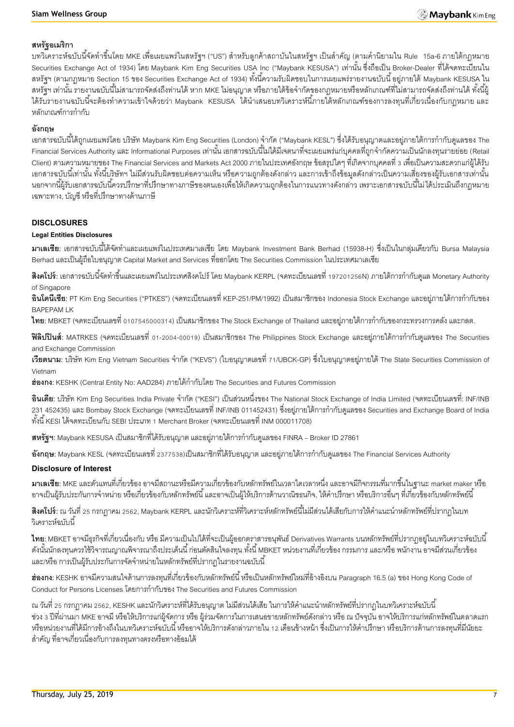### **สหรัฐอเมริกา**

ี บทวิเคราะห์ฉบับนี้จัดทำขึ้นโดย MKE เพื่อเผยแพร่ในสหรัฐฯ ("US") สำหรับลูกค้าสถาบันในสหรัฐฯ เป็นสำคัญ (ตามคำนิยามใน Rule 15a-6 ภายใต้กฎหมาย Securities Exchange Act of 1934) โดย Maybank Kim Eng Securities USA Inc ("Maybank KESUSA") เท่านั้น ซึ่งถือเป็น Broker-Dealer ที่ได้จดทะเบียนใน สหรัฐฯ (ตามกฎหมาย Section 15 ของ Securities Exchange Act of 1934) ทั้งนี้ความรับผิดชอบในการเผยแพร่รายงานฉบับนี้ อยู่ภายใต้ Maybank KESUSA ใน สหรัฐฯ เท่านั้น รายงานฉบับนี้ไม่สามารถจัดส่งถึงท่านได้ หาก MKE ไม่อนุญาต หรือภายใต้ข้อจำกัดของกฎหมายหรือหลักเกณฑ์ที่ไม่สามารถจัดส่งถึงท่านได้ ทั้งนี้ผู้ ได้รับรายงานฉบับนี้จะต้องทำความเข้าใจด้วยว่า Maybank KESUSA ได้นำเสนอบทวิเคราะห์นี้ภายใต้หลักเกณฑ์ของการลงทุนที่เกี่ยวเนื่องกับกฎหมาย และ หลักเกณฑ์การกำกับ

## **อังกฤษ**

ี เอกสารฉบับนี้ได้ถูกเผยแพร่โดย บริษัท Maybank Kim Eng Securities (London) จำกัด ("Maybank KESL") ซึ่งได้รับอนุญาตและอยู่ภายใต้การกำกับดูแลของ The -Financial Services Authority และ Informational Purposes เท่านั้น เอกสารฉบับนี้ไม่ได้มีเจตนาที่จะเผยแพร่แก่บุคคลที่ถูกจำกัดความเป็นนักลงทุนรายย่อย (Retail Client) ตามความหมายของ The Financial Services and Markets Act 2000 ภายในประเทศอังกฤษ ข้อสรุปใดๆ ที่เกิดจากบุคคลที่ 3 เพื่อเป็ นความสะดวกแก่ผู้ได้รับ ้เอกสารฉบับนี้เท่านั้น ทั้งนี้บริษัทฯ ไม่มีส่วนรับผิดชอบต่อความเห็น หรือความถูกต้องดังกล่าว และการเข้าถึงข้อมูลดังกล่าวเป็นความเสี่ยงของผู้รับเอกสารเท่านั้น ้นอกจากนี้ผ้รับเอกสารฉบับนี้ควรปรึกษาที่ปรึกษาทางภาษีของตนเองเพื่อให้เกิดความถูกต้องในการแนวทางดังกล่าว เพราะเอกสารฉบับนี้ไม่ได้ประเมินถึงกฎหมาย เฉพาะทาง, บัญชี หรือที่ปรึกษาทางด้านภาษี

### **DISCLOSURES**

#### **Legal Entities Disclosures**

**ิมาเลเซีย**: เอกสารฉบับนี้ได้จัดทำและเผยแพร่ในประเทศมาเลเซีย โดย Maybank Investment Bank Berhad (15938-H) ซึ่งเป็นในกลุ่มเดียวกับ Bursa Malaysia Berhad และเป็ นผู้ถือใบอนุญาต Capital Market and Services ที่ออกโดย The Securities Commission ในประเทศมาเลเซีย

**ี <b>สิงคโปร์**: เอกสารฉบับนี้จัดทำขึ้นและเผยแพร่ในประเทศสิงคโปร์ โดย Maybank KERPL (จดทะเบียนเลขที่ 197201256N) ภายใต้การกำกับดูแล Monetary Authority of Singapore

**้อินโดนีเซีย**: PT Kim Eng Securities ("PTKES") (จดทะเบียนเลขที่ KEP-251/PM/1992) เป็นสมาชิกของ Indonesia Stock Exchange และอย่ภายใต้การกำกับของ BAPEPAM LK

**ไทย**: MBKET (จดทะเบียนเลขที่ 0107545000314) เป็นสมาชิกของ The Stock Exchange of Thailand และอยู่ภายใต้การกำกับของกระทรวงการคลัง และกลต.

**ฟิลิปปินส์**: MATRKES (จดทะเบียนเลขที่ 01-2004-00019) เป็นสมาชิกของ The Philippines Stock Exchange และอยู่ภายใต้การกำกับดูแลของ The Securities and Exchange Commission

**เวียดนาม**: บริษัท Kim Eng Vietnam Securities จำกัด ("KEVS") (ใบอนุญาตเลขที่ 71/UBCK-GP) ซึ่งใบอนุญาตอยู่ภายใต้ The State Securities Commission of Vietnam

ี**ฮ่องกง**: KESHK (Central Entity No: AAD284) ภายใต้กำกับโดย The Securities and Futures Commission

**้อินเดีย**: บริษัท Kim Eng Securities India Private จำกัด ("KESI") เป็นส่วนหนึ่งของ The National Stock Exchange of India Limited (จดทะเบียนเลขที่: INF/INB ่ 231 452435) และ Bombay Stock Exchange (จดทะเบียนเลขที่ INF/INB 011452431) ซึ่งอยู่ภายใต้การกำกับดูแลของ Securities and Exchange Board of India ทั ้งนี ้ KESI ได้จดทะเบียนกับ SEBI ประเภท 1 Merchant Broker (จดทะเบียนเลขที่ INM 000011708)

**ิสหรัฐฯ:** Maybank KESUSA เป็นสมาชิกที่ได้รับอนุญาต และอยู่ภายใต้การกำกับดูแลของ FINRA – Broker ID 27861

**อังกฤษ**: Maybank KESL (จดทะเบียนเลขที่ 2377538)เป็นสมาชิกที่ได้รับอนุญาต และอยู่ภายใต้การกำกับดูแลของ The Financial Services Authority

### **Disclosure of Interest**

**มาเลเซีย:** MKE และตัวแทนที่เกี่ยวข้อง อาจมีสถานะหรือมีความเกี่ยวข้องกับหลักทรัพย์ในเวลาใดเวลาหนึ่ง และอาจมีกิจกรรมที่มากขึ ้นในฐานะ market maker หรือ ่ อาจเป็นผู้รับประกันการจำหน่าย หรือเกี่ยวข้องกับหลักทรัพย์นี้ และอาจเป็นผู้ให้บริการด้านวาณิชธนกิจ, ให้คำปรึกษา หรือบริการอื่นๆ ที่เกี่ยวข้องกับหลักทรัพย์นี้

**สิงคโปร์**: ณ วันที่ 25 กรกฎาคม 2562, Maybank KERPL และนักวิเคราะห์ที่วิเคราะห์หลักทรัพย์นี้ไม่มีส่วนได้เสียกับการให้คำแนะนำหลักทรัพย์ที่ปรากภในบท .<br>วิเคราะห์ล<sub>บับ</sub>นี้

**ไทย**: MBKET อาจมีธุรกิจที่เกี่ยวเนื่องกับ หรือ มีความเป็นไปได้ที่จะเป็นผู้ออกตราสารอนุพันธ์ Derivatives Warrants บนหลักทรัพย์ที่ปรากฏอยู่ในบทวิเคราะห์ฉบับนี้ ดังนั้นนักลงทุนควรใช้วิจารณญาณพิจารณาถึงประเด็นนี้ ก่อนตัดสินใจลงทุน ทั้งนี้ MBKET หน่วยงานที่เกี่ยวข้อง กรรมการ และ/หรือ พนักงาน อาจมีส่วนเกี่ยวข้อง และ/หรือ การเป็นผู้รับประกันการจัดจำหน่ายในหลักทรัพย์ที่ปรากฏในรายงานฉบับนี้

**ฮ่องกง:** KESHK อาจมีความสนใจด้านการลงทุนที่เกี่ยวข้องกับหลักทรัพย์นี้ หรือเป็นหลักทรัพย์ใหม่ที่อ้างอิงบน Paragraph 16.5 (a) ของ Hong Kong Code of Conduct for Persons Licenses โดยการกำกับของ The Securities and Futures Commission

ณ วันที่ 25 กรกฎาคม 2562, KESHK และนักวิเคราะห์ที่ได้รับอนุญาต ไม่มีส่วนได้เสีย ในการให้คำแนะนำหลักทรัพย์ที่ปรากฏในบทวิเคราะห์ฉบับนี้ ี ช่วง 3 ปีที่ผ่านมา MKE อาจมี หรือให้บริการแก่ผู้จัดการ หรือ ผู้ร่วมจัดการในการเสนอขายหลักทรัพย์ดังกล่าว หรือ ณ ปัจจุบัน อาจให้บริการแก่หลักทรัพย์ในตลาดแรก หรือหน่วยงานที่ได้มีการอ้างถึงในบทวิเคราะห์ฉบับนี้ หรืออาจให้บริการดังกล่าวภายใน 12 เดือนข้างหน้า ซึ่งเป็นการให้คำปรึกษา หรือบริการด้านการลงทุนที่มีนัยยะ ส าคัญ ที่อาจเกี่ยวเนื่องกับการลงทุนทางตรงหรือทางอ้อมได้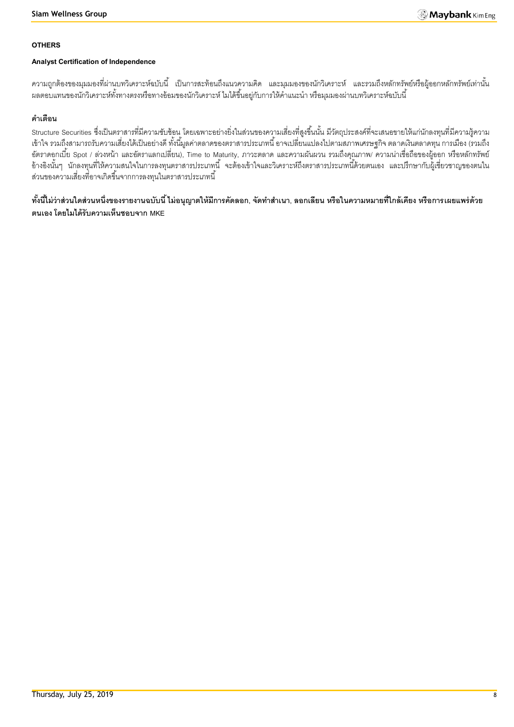#### **OTHERS**

### **Analyst Certification of Independence**

้ ความถูกต้องของมุมมองที่ผ่านบทวิเคราะห์ฉบับนี้ เป็นการสะท้อนถึงแนวความคิด และมุมมองของนักวิเคราะห์ และรวมถึงหลักทรัพย์หรือผู้ออกหลักทรัพย์เท่านั้น ้ ผลตอบแทนของนักวิเคราะห์ทั้งทางตรงหรือทางอ้อมของนักวิเคราะห์ ไมได้ขึ้นอยู่กับการให้คำแนะนำ หรือมุมมองผ่านบทวิเคราะห์ฉบับนี้

# **ค าเตือน**

Structure Securities ซึ่งเป็นตราสารที่มีความซับซ้อน โดยเฉพาะอย่างยิ่งในส่วนของความเสี่ยงที่สูงขึ้นนั้น มีวัตถุประสงค์ที่จะเสนอขายให้แก่นักลงทุนที่มีความรู้ความ เข้าใจ รวมถึงสามารถรับความเสี่ยงได้เป็ นอย่างดี ทั ้งนี ้มูลค่าตลาดของตราสารประเภทนี ้ อาจเปลี่ยนแปลงไปตามสภาพเศรษฐกิจ ตลาดเงินตลาดทุน การเมือง (รวมถึง อัตราดอกเบี้ย Spot / ล่วงหน้า และอัตราแลกเปลี่ยน), Time to Maturity, ภาวะตลาด และความผันผวน รวมถึงคุณภาพ/ ความน่าเชื่อถือของผู้ออก หรือหลักทรัพย์ อ้างอิงนั้นๆ นักลงทุนที่ให้ความสนใจในการลงทุนตราสารประเภทนี้ จะต้องเข้าใจและวิเคราะห์ถึงตราสารประเภทนี้ด้วยตนเอง และปรึกษากับผู้เชี่ยวชาญของตนใน ส่วนของความเสี่ยงที่อาจเกิดขึ้นจากการลงทุนในตราสารประเภทนี้

์ ทั้งนี้ไม่ว่าส่วนใดส่วนหนึ่งของรายงานฉบับนี้ ไม่อนุญาตให้มีการคัดลอก, จัดทำสำเนา, ลอกเลียน หรือในความหมายที่ใกล้เคียง หรือการเผยแพร่ด้วย **ตนเอง โดยไมได้รับความเห็นชอบจาก MKE**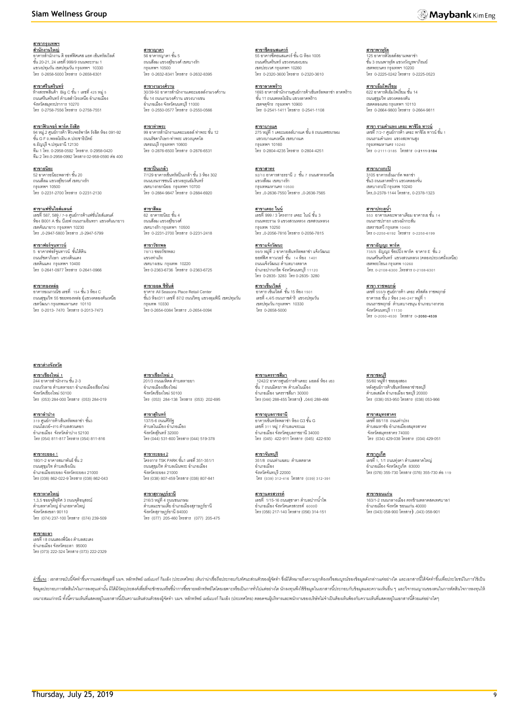#### **Siam Wellness Group**

**สาขากรุงเทพฯ** ี<u>สำ**นักงานใหญ่**<br>อาคารสำนักงาน ดิ ออฟฟิศเศส แอท เซ็นทรัลเวิลด์</u><br>ชั้น 20-21, 24 เลขที่ 999/9 ถนนพระราม 1 แขวงปทุมวัน เขตปทุมวัน กรุงเทพฯ 10330

โทร 0-2658-5000 โทรสาร 0-2658-6301

ี<u>สาขา**ศรีนครินทร์**</u><br>ห้างสรรพสินค้า Big C ขั้น 1 เลขที่ 425 หมู่ 5<br>ถนนศรีนครินทร์ ตำบลสำโรงเหนือ อำเภอเมือง จังหวัดสมุทรปราการ 10270 โทร 0-2758-7556 โทรสาร 0-2758-7551

**สาขาฟิ วเจอร์ พาร์ค รังสิต** 94 หมู่.2 ศูนย์การค้า ฟิวเจอร์พาร์ค รังสิต ห้อง 091-92<br>ชั้น G F ถ.พหลโยธิน ต.ประชาธิปัตย์ อ.ธัญบุรี จ.ปทุมธานี 12130 ทีม 1 โทร. 0-2958-0592 โทรสาร. 0-2958-0420 ทีม 2 โทร.0-2958-0992 โทรสาร 02-958-0590 ต่อ400

**สาขาธนิยะ** 52 อาคารธนิยะพลาซ่า ชั ้น 20 ถนนสีลม แขวงสุริยวงศ์ เขตบางรัก กรุงเทพฯ 10500 โทร 0-2231-2700 โทรสาร 0-2231-2130

**สาขาแฟชั่นไอส์แลนด์** เลขที่ 587, 589 / 7-9 ศูนย์การค้าแฟชั่นไอส์แลนด์<br>ห้อง B001 A ขั้น บีเอฟ ถนนรามอินทรา แขวงคันนายาว เขตคันนายาว กรุงเทพฯ 10230 โทร .0-2947-5800 โทรสาร .0-2947-5799

**สาขาฟอร์จูนทาวน์**<br>5 อาคารฟอร์จูนทาวน์ ชั้นใต้ดิน ถนนรัชดาภิเษก แขวงดินแดง เขตดินแดง กรุงเทพฯ 10400 โทร 0-2641-0977 โทรสาร 0-2641-0966

**สาขาทองหล่อ** อาคารอเนกวณิช เลขที่ 154ชั ้น 3 ห้อง C ถนนสุขุมวิท 55 ซอยทองหล่อ )แขวงคลองตันเหนือ เขตวัฒนา กรุงเทพมหานคร 10110 โทร 0-2013- 7470 โทรสาร 0-2013-7473

**สาขาต่างจังหวัด**

**สาขาเชียงใหม่ 1** 244 อาคารส านักงาน ชั ้น 2-3 ถนนวัวลาย ตำบลหายยา อำเภอเมืองเชียงใหม่ จังหวัดเชียงใหม่ 50100 โทร (053) 284-000 โทรสาร (053) 284-019

**สาขาล าปาง** 319 ศูนย์การค้าเซ็นทรัลพลาซ่า ชั้น3 ถนนไฮเวย์-งาว ตำบลสวนดอก อ าเภอเมือง จังหวัดล าปาง 52100 โทร (054) 811-817 โทรสาร (054) 811-816

**สาขาระยอง** 1 <u>..............</u><br>180/1-2 อาคารสมาพันธ์ ชั้น 2 ถนนสุขุมวิท ตำบลเชิงเนิน -----------------------------<br>อำเภอเมืองระยอง จังหวัดระยอง 21000 โทร (038) 862-022-9 โทรสาร (038) 862-043

**สาขาหาดใหญ่**  1,3,5 ซอยจุติอุทิศ 3 ถนนจุติอนุสรณ์ ต าบลหาดใหญ่ อ าเภอหาดใหญ่ จังหวัดสงขลา 90110 โทร (074) 237-100 โทรสาร (074) 239-509

**สาขายะลา** <u>ี่มารับระมา</u><br>เลขที่ 18 กายเสดงพี่ร้อง ตำบลสะเตง อ าเภอเมือง จังหวัดยะลา 95000 โทร (073) 222-324 โทรสาร (073) 222-2329

<mark>สาขาญาดา</mark><br>56 อาคารญาดา ชั้น 5 ถนนสีลม แขวงสุริยวงศ์ เขตบางรัก กรุงเทพฯ 10500 โทร 0-2632-8341 โทรสาร 0-2632-8395

<u>สาขา**งามวงศ์วาน**</u><br>30/39-50 อาคารสำนักงานเดอะมอลล์งามวงศ์วาน<br>ชั้น 14 ถนนงามวงศ์วาน แขวงบางเขน อ าเภอเมือง จังหวัดนนทบุรี 11000 โทร 0-2550-0577 โทรสาร 0-2550-0566

**สาขาท่าพระ** 99 อาคารสำนักงานเดอะมอลล์ ท่าพระ ชั้น 12 ถนนรัชดาภิเษก-ท่าพระ แขวงบุคคโล เขตธนบุรี กรุงเทพฯ 10600 โทร 0-2876-6500 โทรสาร 0-2876-6531

**สาขาปิ่ นเกล้า** <u>................</u><br>7/129 อาคารเซ็นทรัลปิ่นเกล้า ชั้น 3 ห้อง 302 ถนนบรมราชชนนี แขวงอรุณอัมรินทร์ เขตบางกอกน้อย กรุงเทพฯ 10700 โทร 0-2884-9847 โทรสาร 0-2884-6920

**สาขาสีลม** 62 อาคารธนิยะ ชั้น 4<br>ถนนสีลม แขวงสุริยวงศ์ เขตบางรัก กรุงเทพฯ 10500 โทร 0-2231-2700 โทรสาร 0-2231-2418

**สาขาวัชรพล** <u>...........</u><br>78/13 ซอยวัชรพลว แขวงท่าแร้ง เขตบางเขน กรุงเทพ 10220 โทร 0-2363-6736 โทรสาร 0-2363-6725

**สาขาออล ซีซั่นส์** อาคาร All Seasons Place Retail Center ชั ้น3 ห้อง311 เลขที่ 87/2 ถนนวิทยุแขวงลุมพินีเขตปทุมวัน กรุงเทพ 10330 โทร 0-2654-0084 โทรสาร .0-2654-0094

**สาขาเชียงใหม่ 2**<br>201/3 ถนนมหิดล ตำบลหายยา อ าเภอเมืองเชียงใหม่ จังหวัดเชียงใหม่ 50100 โทร (053) 284-138 โทรสาร (053) 202-695

**สาขาสุรินทร์** 137/5-6 ถนนศิริรัฐ ้าบกบี บ เกมมาระ<br>ตำบลในเมือง อำเภอเมือง จังหวัดสุรินทร์ 32000 โทร (044) 531-600 โทรสาร (044) 519-378

**สาขาระยอง 2** โครงการ TSK PARK ชั ้น1 เลขที่ 351-351/1 ถนนสุขุมวิท ตำบลเนินพระ คำเภคเมือง จังหวัดระยอง 21000 โทร (038) 807-459 โทรสาร (038) 807-841

**สาขาสุราษฏร์ธานี** 216/3 หมู่ที่ 4 ถนนชนเกษม<br>ตำบลมะขามเตี๋ย อำเภอเมืองสุราษฎร์ธานี จังหวัดสุราษฎร์ธานี 84000 โทร (077) 205-460 โทรสาร (077) 205-475 **สาขาซีคอนสแควร์** 55 อาคารซีคอนสแควร์ ชั ้น G ห้อง 1005 ถนนศรีนครินทร์ แขวงหนองบอน เขตประเวศ กรุงเทพฯ 10260 โทร 0-2320-3600 โทรสาร 0-2320-3610

**สาขาลาดพร้าว**<br>1693 อาคารสำนักงานศูนย์การค้าเซ็นทรัลพลาซ่า ลาดพร้าว<br>ขั้น 11 ถนนพหลโยธิน แขวงลาดพร้าว เขตจตุจักร กรุงเทพฯ 10900 โทร 0-2541-1411 โทรสาร 0-2541-1108

**สาขาบางแค**  $275$  หมู่ที่ 1 เดอะมอลล์บางแค ชั้น 8 ถนนเพชรเกษม แขวงบางแคเหนือ เขตบางแค กรุงเทพฯ 10160 โทร 0-2804-4235 โทรสาร 0-2804-4251

**สาขาสาทร** <u>.............</u><br>92/10 อาคารสาธรธานี 2 ชั้น 7 ถนนสาทรเหนือ แขวงสีลม เขตบางรัก กรุงเทพมหานคร 10500 โทร .0-2636-7550 โทรสาร .0-2636-7565

**สาขาเดอะ ไนน์** เลขที่ 999 / 3 โครงการ เดอะ ไนน์ ชั้น 3 ถนนพระราม 9 แขวงสวนหลวง เขตสวนหลวง กรุงเทพ 10250 โทร .0-2056-7816 โทรสาร 0-2056-7815

**สาขาแจ้งวัฒนะ** 99/9 หมู่ที่ 2อาคารเซ็นทรัลพลาซ่า แจ้งวัฒนะ ้อยฟฟิศ ทาวเวอร์ ชั้น 14 ห้อง 1401 ถนนแจ้งวัฒนะ ตำบลบางตลาด<br>อำเภอปากเกร็ด จังหวัดนนทบุรี 11120 โทร 0-2835- 3283 โทร 0-2835- 3280

ี<u>สาขาเซ็นเวิลด์</u><br>อาคาร เซ็นเวิลด์ ชั้น 15 ห้อง 1501 เลขที่ 4,4/5 ถนนราชด าริ แขวงปทุมวัน เขตปทุมวัน กรุงเทพฯ 10330 โทร 0-2658-5000

**สาขานครราชสีมา**<br>\_1242/2 อาคารศูนย์การค้าเดอะ มอลล์ ห้อง เอ3 ชั้น 7 ถนนมิตรภาพ ตำบลในเมือง อ าเภอเมือง นครราชสีมา 30000 โทร (044) 288-455 โทรสาร) .044) 288-466

**สาขาอุบลราชธานี** อาคารเซ็นทรัลพลาซ่า ห้อง G3 ชั้น G<br>เลขที่ 311 หมู่ 7 ตำบลแจระแม<br>อำเภอเมือง จังหวัดอุบลราชธานี 34000 โทร (045) 422-911 โทรสาร (045) 422-930

**สาขาจันทบุรี** 351/8 ถนนท่าแฉลบ ตำบลตลาด อ าเภอเมือง จังหวัดจันทบุรี 22000 โทร (039) 312-416 โทรสาร (039) 312-391

**สาขานครสวรรค์** เลขที่ 1/15-16 ถนนสุชาดา ต าบลปากน ้าโพ อ าเภอเมือง จังหวัดนครสวรรค์ 60000 โทร (056) 217-140 โทรสาร (056) 314-151

ี<u>สาขาพาหุรัด</u><br>125 อาคารดิโอลด์สยามพลาซ่า<br>ชั้น 3 ถนนพาหุรัด แขวงวังบูรพาภิรมย์ เขตพระนคร กรุงเทพฯ 10200 โทร 0-2225-0242 โทรสาร 0-2225-0523

<mark>สาขาเอ็มโพเรี่ยม</mark><br>622 อาคารดิเอ็มโพเรี่ยม ชั้น 14 ถนนสุขุมวิท แขวงคลองตัน เขตคลองเตย กรุงเทพฯ 10110 โทร 0-2664-9800 โทรสาร 0-2664-9811

<u>สาขา รามคำแหง เดอะ พาซิโอ ทาวน์</u> เลขที่ 7/2-7 ศูนย์การค้า เดอะ พาซิโอ ทาวน์ ชั้น 1

ถนนรามค าแหง แขวงสะพานสูง กรุงเทพมหานคร 10240 โทร 0-2111-3185 โทรสาร 0**-2111-3184**

**สาขาบางกะปิ** 3105 อาคารเอ็นมาร์ค พลาซ่า ชั ้น3 ถนนลาดพร้าว แขวงคลองจั่น เขตบางกะปิ กรุงเทพ 10240 โทร.0-2378-1144 โทรสาร. 0-2378-1323

**สาขาประตูน้ำ** 553 อาคารเดอะพาลาเดียม อาคารเอ ชั้น 14<br>ถนนราชปรารภ แขวงมักกะสัน เขตราชเทวี กรุงเทพ 10400 โทร0-2250-6192 โทรสาร 0-2250-6199

**สาขาธัญญะ พาร์ค**<br>735/5 ธัญญะ ช็อปปิ้ง พาร์ค อาคาร E ชั้น 2<br>ถนนศรีนครินทร์ แขวงสวนหลวง (คลองประเวศฝั่งเหนือ) เขตพระโขนง กรุงเทพ 10260 โทร. 0-2108-6300 ,โทรสาร 0-2108-6301

**สาขา ราชพฤกษ์** เลขที่ 555/9 ศูนย์การค้า เดอะ คริสตัล ราชพฤกษ์<br>อาคารเอ ชั้น 2 ห้อง 246-247 หมู่ที่ 1 ิถนนราชพฤกษ์ ตำบลบางขนุน อำเภอบางกรวย จังหวัดนนทบุรี 11130 โทร 0-2050-4530 โทรสาร 0**-2050-4539**

**สาขาชลบุรี**  55/60 หมู่ที่1 ซอยลุงสอง หลังศูนย์การค้าเซ็นทรัลพลาซ่าซลบุรี<br>ตำบลเสม็ด อำเภอเมือง ซลบุรี 20000 โทร (038) 053-950 โทรสาร (038) 053-966

**สาขาสมุทรสาคร** เลขที่ 88/118 ถนนท่าปรง นามา 557 115 นาคมา 1274<br>ตำบลมหาชัย อำเภอเมืองสมุทรสาคร จังหวัดสมุทรสาคร 74000 โทร (034) 429-038 โทรสาร (034) 429-051

**สาขาภูเก็ต** เลขที่ 1, 1/1 ถนนทุ่งคา ตำบลตลาดใหญ่<br>อำเภอเมือง จังหวัดภูเก็ต 83000<br>โทร (076) 355-730 โทรสาร (076) 355-730 ต่อ 119

**สาขาขอนแก่น** ี<u>.....................</u><br>163/1-2 ถนนกลางเมือง ตรงข้ามตลาดสดเทศบาล1 อ าเภอเมือง จังหวัด ขอนแก่น 40000 โทร (043) 058-900 โทรสาร) .043) 058-901

<u>คำขึ้แจ</u>ะ เอกสารณับนี้จัดทำขึ้นจากแหล่งข้อมูลที่ นมจ. หลักทาพย์ แย่แมงก์ กิแอ็ง (ประเทศไทย) เห็นว่าน่าเชื่อถือประกอบกับทัศนะส่วนตัวของผู้จัดทำ ซึ่งมีได้หมายถึงความถูกต้องหรือสมบูรณ์ของข้อมูลดังกล่าวแต่อย่างได และเอกสารนี ข้อมูลประกอบการตัดสินใจในการลงทุนท่านั้น มีได้มีวัตถุประสงค์เพื่อที่จะขักชามทร์ข้ำการข้อชายหลักทรัพย์ไดโดยเฉพาะหรือเป็นการทั่วไปแต่อย่างใด นักลงทุนพึงใช้ข้อมูลในเอกสารนี้ประกอบกับข้อมูลและความเห็นอื่น ๆ และวิจารณญาณของตนใน เหมาะสมแก่กรณี ทั้งนี้ความเห็นที่แสดงอยู่ในเอกสารนี้เป็นความเห็นส่วนตัวเองผู้จัดทำ บมจ. หลักทรัพย์ แย้แบงก์ กิมเอ็ง (ประเทศไทย) ตลอดจนผู้บริหารและพนักงานของบริษัทไมจำเป็นต้องเห็นท้องกับความเห็นที่แสดงอยู่ในเอกสารนี้ด้วยแต่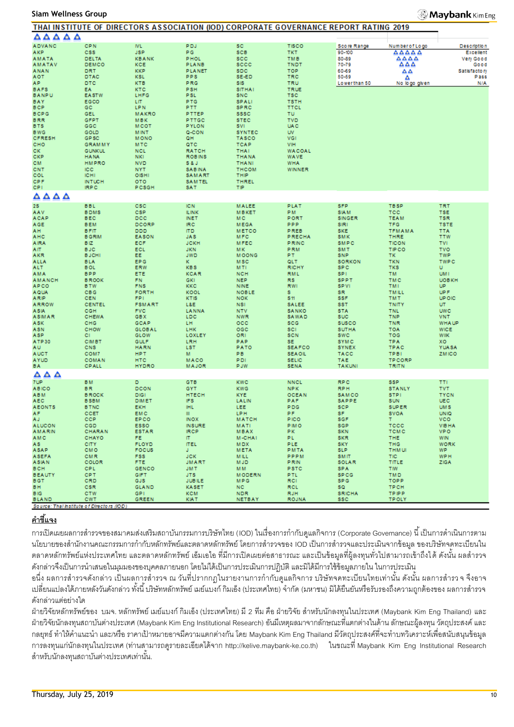#### **Siam Wellness Group**

### **Maybank** Kim Eng

|                                           |                              | THAT INSTITUTE OF DIRECTORS ASSOCIATION (IOD) CORPORATE GOVERNANCE REPORT RATING 2019 |                              |                             |                             |                             |                     |                            |
|-------------------------------------------|------------------------------|---------------------------------------------------------------------------------------|------------------------------|-----------------------------|-----------------------------|-----------------------------|---------------------|----------------------------|
| ΔΔΔΔΔ                                     |                              |                                                                                       |                              |                             |                             |                             |                     |                            |
| <b>ADVANC</b>                             | <b>CPN</b>                   | <b>IVL</b>                                                                            | <b>PDJ</b>                   | <b>SC</b>                   | <b>TISCO</b>                | Score Range                 | Number of Logo      | <b>Description</b>         |
| AKP.                                      | <b>CSS</b>                   | <b>JSP</b>                                                                            | PG.                          | <b>SCB</b>                  | TKT.                        | 90-100                      | AAAAA               | Excellent                  |
| <b>AMATA</b>                              | DELTA                        | <b>KBANK</b>                                                                          | <b>PHOL</b>                  | <b>SCC</b>                  | <b>TMB</b>                  | 80-89                       | AAAA                | Very Good                  |
| <b>AMATAV</b>                             | DEMCO                        | KCE                                                                                   | PLANB                        | sccc                        | <b>TNDT</b>                 | 70-79                       | AΔA                 | Good                       |
| <b>ANAN</b>                               | DRT                          | <b>KKP</b>                                                                            | <b>PLANET</b>                | <b>SDC</b>                  | <b>TOP</b>                  | 60-69                       | ᅀᅀ                  | Satisfactory               |
| <b>AOT</b>                                | DTAC                         | <b>KSL</b>                                                                            | PPS                          | SE-ED                       | TRC                         | 50-59                       | Δ                   | Pass                       |
| AP.                                       | <b>DTC</b>                   | <b>KTB</b>                                                                            | PRG                          | SIS                         | <b>TRU</b>                  | Lowerthan 50                | No logo given       | N/A                        |
| <b>BAFS</b>                               | EA.                          | <b>KTC</b>                                                                            | <b>PSH</b>                   | <b>SITHAI</b>               | <b>TRUE</b>                 |                             |                     |                            |
| <b>BANPU</b>                              | <b>EASTW</b>                 | LHFG                                                                                  | <b>PSL</b>                   | <b>SNC</b>                  | <b>TSC</b>                  |                             |                     |                            |
| BAY                                       | EGCO                         | LIT.                                                                                  | <b>PTG</b>                   | <b>SPALI</b>                | <b>TSTH</b>                 |                             |                     |                            |
| <b>BCP</b>                                | GC                           | <b>LPN</b>                                                                            | PTT.                         | <b>SPRC</b>                 | <b>TTCL</b>                 |                             |                     |                            |
| <b>BCPG</b>                               | GEL                          | <b>MAKRO</b>                                                                          | PTTEP                        | <b>SSSC</b>                 | <b>TU</b>                   |                             |                     |                            |
| <b>BRR</b>                                | <b>GFPT</b>                  | <b>MBK</b>                                                                            | PTTGC                        | <b>STEC</b>                 | <b>TVD</b>                  |                             |                     |                            |
| <b>BTS</b>                                | GGC                          | <b>MCOT</b>                                                                           | <b>PYLON</b>                 | SVI.                        | <b>UAC</b>                  |                             |                     |                            |
| <b>BWG</b>                                | GOLD                         | <b>MINT</b>                                                                           | Q-CON                        | <b>SYNTEC</b>               | <b>UV</b>                   |                             |                     |                            |
| <b>CFRESH</b>                             | GP <sub>SC</sub>             | <b>MONO</b>                                                                           | QH.                          | <b>TASCO</b>                | VGI                         |                             |                     |                            |
| CHO                                       | <b>GRAMMY</b>                | <b>MTC</b>                                                                            | QTC                          | <b>TCAP</b>                 | VIH                         |                             |                     |                            |
| CK.                                       | <b>GUNKUL</b>                | <b>NCL</b>                                                                            | <b>RATCH</b>                 | <b>THAI</b>                 | <b>WACOAL</b>               |                             |                     |                            |
| CKP                                       | <b>HANA</b>                  | <b>NKI</b>                                                                            | <b>ROBINS</b>                | <b>THANA</b>                | <b>WAVE</b>                 |                             |                     |                            |
| CM.                                       | <b>HMPRO</b>                 | <b>NVD</b>                                                                            | S&J                          | <b>THANI</b>                | <b>WHA</b>                  |                             |                     |                            |
| CNT                                       | <b>ICC</b>                   | <b>NYT</b>                                                                            | <b>SABINA</b>                | <b>THCOM</b>                | WINNER                      |                             |                     |                            |
| COL                                       | <b>ICHI</b>                  | OISHI                                                                                 | SAMART                       | THIP                        |                             |                             |                     |                            |
| <b>CPF</b>                                | <b>INTUCH</b>                | <b>OTO</b>                                                                            | SAMTEL                       | THREL                       |                             |                             |                     |                            |
| CPI.                                      | <b>IRPC</b>                  | PCSGH                                                                                 | SAT                          | ΤIΡ                         |                             |                             |                     |                            |
| $\triangle \triangle \triangle \triangle$ |                              |                                                                                       |                              |                             |                             |                             |                     |                            |
| 28                                        | <b>BBL</b>                   | csc                                                                                   | <b>IC N</b>                  | <b>MALEE</b>                | PLAT                        | <b>SFP</b>                  | <b>TBSP</b>         | <b>TRT</b>                 |
| AAV                                       | <b>BDMS</b>                  | <b>CSP</b>                                                                            | <b>ILINK</b>                 | <b>MBKET</b>                | PM.                         | <b>SIAM</b>                 | <b>TCC</b>          | <b>TSE</b>                 |
| ACAP                                      | <b>BEC</b>                   | DCC                                                                                   | <b>INET</b>                  | M C                         | PORT                        | <b>SINGER</b>               | <b>TEAM</b>         | <b>TSR</b>                 |
| AGE                                       | <b>BEM</b>                   | DCORP                                                                                 | IRC.                         | <b>MEGA</b>                 | <b>PPP</b>                  | SIRI                        | <b>TFG</b>          | <b>TSTE</b>                |
| AH.                                       | <b>BFIT</b>                  | <b>DDD</b>                                                                            | <b>ITD</b>                   | <b>METCO</b>                | PREB                        | <b>SKE</b>                  | <b>TFMAMA</b>       | <b>TTA</b>                 |
| AHC                                       | <b>B GRIM</b>                | <b>EASON</b>                                                                          | <b>JAS</b>                   | MFC                         | <b>PRECHA</b>               | <b>SMK</b>                  | <b>THRE</b>         | <b>TTW</b>                 |
| <b>AIRA</b>                               | BIZ.                         | <b>ECF</b>                                                                            | <b>JCKH</b>                  | <b>MFEC</b>                 | PRINC                       | SMPC                        | <b>TICON</b>        | <b>TVI</b>                 |
| AIT.                                      | <b>BJC</b>                   | ECL                                                                                   | <b>JKN</b>                   | MK.                         | <b>PRM</b>                  | <b>SMT</b>                  | <b>TIPCO</b>        | <b>TVO</b>                 |
| AKR                                       | <b>BJCHI</b>                 | EE.                                                                                   | <b>JWD</b>                   | <b>MOONG</b>                | PT.                         | <b>SNP</b>                  | TK.                 | <b>TWP</b>                 |
| <b>ALLA</b>                               | <b>BLA</b>                   | EP G                                                                                  | ĸ.                           | <b>MSC</b>                  | QLT.                        | <b>SORKON</b>               | <b>TKN</b>          | <b>TWPC</b>                |
| ALT.                                      | <b>BOL</b>                   | ERW                                                                                   | <b>KBS</b>                   | M <sub>TI</sub>             | <b>RICHY</b>                | SP C                        | <b>TKS</b>          | U.                         |
| AMA                                       | <b>BPP</b>                   | ETE                                                                                   | <b>KCAR</b>                  | <b>NCH</b>                  | <b>RML</b>                  | SPI.                        | TM.                 | UM I                       |
| <b>AMANCH</b>                             | <b>BROOK</b>                 | FN.                                                                                   | <b>GKI</b>                   | <b>NEP</b>                  | <b>RS</b>                   | <b>SPPT</b>                 | <b>TMC</b>          | <b>UOBKH</b>               |
| <b>APCO</b>                               | <b>BTW</b>                   | <b>FNS</b>                                                                            | <b>KKC</b>                   | <b>NINE</b>                 | <b>RWI</b>                  | <b>SPVI</b>                 | TMI.                | UP.                        |
| <b>AQUA</b>                               | <b>CBG</b>                   | <b>FORTH</b>                                                                          | KOOL                         | <b>NOBLE</b>                | s.                          | SR.                         | <b>TMILL</b>        | UP F                       |
| ARIP                                      | <b>CEN</b>                   | FPI.                                                                                  | KTIS                         | <b>NOK</b>                  | \$11                        | <b>SSF</b>                  | <b>TMT</b>          | <b>UP OIC</b>              |
| <b>ARROW</b>                              | <b>CENTEL</b>                | <b>FSMART</b>                                                                         | L&E                          | <b>NSI</b>                  | <b>SALEE</b>                | <b>SST</b>                  | <b>TNITY</b>        | UT.                        |
| ASIA                                      | CGH                          | <b>FVC</b>                                                                            | LANNA                        | <b>NTV</b>                  | <b>SANKO</b>                | <b>STA</b>                  | <b>TNL</b>          | <b>UWC</b>                 |
| <b>ASIMAR</b>                             | CHEWA                        | <b>GBX</b>                                                                            | <b>LDC</b>                   | <b>NWR</b>                  | SAWAD                       | <b>SUC</b>                  | <b>TNP</b>          | <b>VNT</b>                 |
| ASK                                       | CHG                          | GCAP                                                                                  | LH                           | $_{\rm occ}$                | scc                         | <b>SUSCO</b>                | <b>TNR</b>          | <b>WHA UP</b>              |
| <b>ASN</b>                                | CHOW                         | <b>GLOBAL</b>                                                                         | <b>LHK</b>                   | OGC                         | <b>SCI</b>                  | <b>SUTHA</b>                | <b>TOA</b>          | <b>WICE</b>                |
| ASP.                                      | CI.                          | GLOW                                                                                  | LOXLEY                       | ORI                         | <b>SCN</b>                  | <b>SWC</b>                  | TOG                 | <b>WIIK</b>                |
| ATP30                                     | <b>CIMBT</b>                 | <b>GULF</b>                                                                           | LRH                          | PAP                         | SE.                         | <b>SYMC</b>                 | <b>TPA</b>          | XO.                        |
| AU.                                       | CNS                          | <b>HARN</b>                                                                           | <b>LST</b>                   | PATO                        | <b>SEAFCO</b>               | <b>SYNEX</b>                | TPAC                | <b>YUASA</b>               |
| <b>AUCT</b>                               | COM7                         | <b>HPT</b>                                                                            | м                            | PB                          | <b>SEAOIL</b>               | <b>TACC</b>                 | <b>TPBI</b>         | <b>ZMICO</b>               |
| <b>AYUD</b>                               | <b>COMAN</b><br><b>CPALL</b> | <b>HTC</b><br><b>HYDRO</b>                                                            | MACO                         | PDI<br><b>PJW</b>           | <b>SELIC</b><br><b>SENA</b> | <b>TAE</b><br><b>TAKUNI</b> | <b>TPCORP</b>       |                            |
| BA.                                       |                              |                                                                                       | <b>MAJOR</b>                 |                             |                             |                             | TRITN               |                            |
| $\triangle$ $\triangle$ $\triangle$       |                              |                                                                                       |                              |                             |                             |                             |                     |                            |
| 7UP.                                      | <b>BM</b>                    | D.                                                                                    | <b>GTB</b>                   | <b>KWC</b>                  | <b>NNCL</b>                 | <b>RPC</b>                  | <b>SSP</b>          | <b>TTI</b>                 |
| <b>ABICO</b>                              | <b>BR</b>                    | <b>DCON</b>                                                                           | <b>GYT</b>                   | <b>KWG</b>                  | NPK.                        | <b>RPH</b>                  | <b>STANLY</b>       | <b>TVT</b>                 |
| <b>ABM</b>                                | <b>BROCK</b>                 | <b>DIGI</b>                                                                           | <b>HTECH</b>                 | <b>KYE</b>                  | <b>OCEAN</b>                | SAMCO                       | <b>STPI</b>         | <b>TYCN</b>                |
| AEC                                       | <b>BSBM</b>                  | <b>DIMET</b>                                                                          | IFS.                         | LALIN                       | PAF                         | SAPPE                       | SUN                 | UEC                        |
| <b>AEONTS</b>                             | <b>B TNC</b>                 | <b>EKH</b>                                                                            | <b>IHL</b>                   | LEE                         | <b>PDG</b>                  | <b>SCP</b>                  | <b>SUPER</b>        | <b>UMS</b>                 |
| AF.                                       | CCET                         | EMC                                                                                   | ш                            | LPH                         | PF.                         | SF.                         | SVOA                | <b>UNIO</b>                |
| AJ.                                       | <b>CCP</b>                   | EP CO                                                                                 | INOX                         | <b>MATCH</b>                | <b>PICO</b>                 | sgF                         | Τ.                  | <b>VCO</b>                 |
| <b>ALUCON</b><br><b>AMARIN</b>            | <b>CGD</b>                   | <b>ESSO</b><br><b>ESTAR</b>                                                           | <b>INSURE</b><br><b>IRCP</b> | MATI<br><b>MBAX</b>         | <b>PIMO</b><br>PK.          | <b>SGP</b><br><b>SKN</b>    | TCCC<br><b>TCMC</b> | <b>VIBHA</b><br><b>VPO</b> |
|                                           | CHARAN                       |                                                                                       |                              |                             |                             |                             |                     |                            |
| <b>AMC</b><br>AS.                         | <b>CHAYO</b><br><b>CITY</b>  | FE.<br><b>FLOYD</b>                                                                   | IT.<br><b>ITEL</b>           | <b>M-CHAI</b><br><b>MDX</b> | PL.<br>PLE.                 | <b>SKR</b><br><b>SKY</b>    | THE.<br><b>THG</b>  | <b>WIN</b><br><b>WORK</b>  |
| ASAP                                      | <b>CMO</b>                   | <b>FOCUS</b>                                                                          | J.                           | <b>META</b>                 | <b>PMTA</b>                 | SLP.                        | <b>THM UI</b>       | WP.                        |
| <b>ASEFA</b>                              | CMR                          | FSS.                                                                                  | <b>JCK</b>                   | <b>MILL</b>                 | PPPM                        | <b>SMIT</b>                 | <b>TIC</b>          | <b>WPH</b>                 |
| <b>ASIAN</b>                              | COLOR                        | FTE.                                                                                  | <b>JMART</b>                 | <b>MJD</b>                  | <b>PRIN</b>                 | SOLAR                       | TITLE               | ZIGA                       |
| <b>BCH</b>                                | CPL.                         | <b>GENCO</b>                                                                          | JM T                         | MM.                         | PSTC                        | SPA                         | <b>TIW</b>          |                            |
| <b>BEAUTY</b>                             | <b>CPT</b>                   | GIFT                                                                                  | JTS.                         | <b>MODERN</b>               | PTL.                        | <b>SPCG</b>                 | <b>TMD</b>          |                            |
| BGT.                                      | CRD                          | GJS                                                                                   | <b>JUBILE</b>                | <b>MPG</b>                  | RCI.                        | SP G                        | TOPP                |                            |
| BH.                                       | <b>CSR</b>                   | <b>GLAND</b>                                                                          | <b>KASET</b>                 | <b>NC</b>                   | <b>RCL</b>                  | SQ.                         | <b>TPCH</b>         |                            |
| <b>BIG</b>                                | <b>CTW</b>                   | GP <sub>1</sub>                                                                       | <b>KCM</b>                   | <b>NDR</b>                  | <b>RJH</b>                  | <b>SRICHA</b>               | <b>TPIPP</b>        |                            |
| <b>BLAND</b>                              | <b>CWT</b>                   | <b>GREEN</b>                                                                          | <b>KIAT</b>                  | <b>NETBAY</b>               | <b>ROJNA</b>                | ssc.                        | <b>TPOLY</b>        |                            |
| Source: Thal Institute of Directors (IOD) |                              |                                                                                       |                              |                             |                             |                             |                     |                            |

# **ค าชี้แจง**

การเปิดเผยผลการสำรวจของสมาคมส่งเสริมสถาบันกรรมการบริษัทไทย (IOD) ในเรื่องการกำกับดูแลกิจการ (Corporate Governance) นี้ เป็นการดำเนินการตาม นโยบายของสำนักงานคณะกรรมการกำกับหลักทรัพย์และตลาดหลักทรัพย์ โดยการสำรวจของ IOD เป็นการสำรวจและประเมินจากข้อมล ของบริษัทจดทะเบียนใน ตลาดหลักทรัพย์แห่งประเทศไทย และตลาดหลักทรัพย์ เอ็มเอไอ ที่มีการเปิดเผยต่อสาธารณะ และเป็นข้อมลที่ผู้ลงทนทั่วไปสามารถเข้าถึงได้ ดังนั้น ผลสำรวจ ้ดังกล่าวจึงเป็นการนำเสนอในมมมองของบคคลภายนอก โดยไม่ได้เป็นการประเมินการปฏิบัติ และมิได้มีการใช้ข้อมลภายใน ในการประเมิน

้อนึ่ง ผลการสำรวจดังกล่าว เป็นผลการสำรวจ ณ วันที่ปรากกฎในรายงานการกำกับดูแลกิจการ บริษัทจดทะเบียนไทยเท่านั้น ดังนั้น ผลการสำรว จ จึงอาจ ่ เปลี่ยนแปลงได้ภายหลังวันดังกล่าว ทั้งนี้ บริษัทหลักทรัพย์ เมย์แบงก์ กิมเอ็ง (ประเทศไทย) จำกัด (มหาชน) มิได้ยืนยันหรือรับรองถึงความถูกต้องของ ผลการสำรวจ ดังกล่าวแต่อย่างใด

้ ฝ่ายวิจัยหลักทรัพย์ของ บมจ. หลักทรัพย์ เมย์แบงก์ กิมเอ็ง (ประเทศไทย) มี 2 ทีม คือ ฝ่ายวิจัย สำหรับนักลงทุนในประเทศ (Maybank Kim Eng Thailand) และ ฝ่ ายวิจัยนักลงทุนสถาบันต่างประเทศ (Maybank Kim Eng Institutional Research) อันมีเหตุผลมาจากลักษณะที่แตกต่างในด้าน ลักษณะผู้ลงทุน วัตถุประสงค์ และ กลยุทธ์ ทำให้คำแนะนำ และ/หรือ ราคาเป้าหมายอาจมีความแตกต่างกัน โดย Maybank Kim Eng Thailand มีวัตถุประสงค์ที่จะทำบทวิเคราะห์เพื่อสนับสนุนข้อมูล การลงทุนแก่นักลงทุนในประเทศ (ท่านสามารถดูรายละเอียดได้จาก http://kelive.maybank-ke.co.th) ในขณะที่ Maybank Kim Eng Institutional Research สำหรับนักลงทุนสถาบันต่างประเทศเท่านั้น.